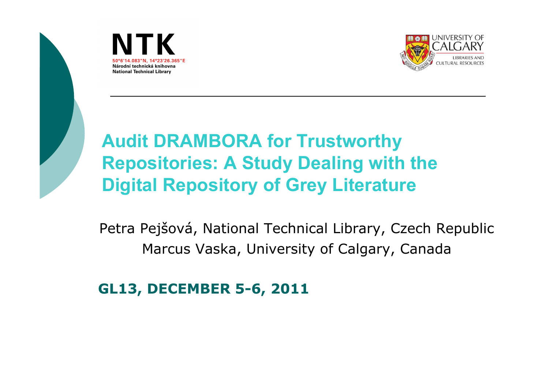





#### **Audit DRAMBORA for Trustworthy Repositories: A Study Dealing with the Digital Repository of Grey Literature**

Petra Pejšová, National Technical Library, Czech RepublicMarcus Vaska, University of Calgary, Canada

**GL13, DECEMBER 5-6, 2011**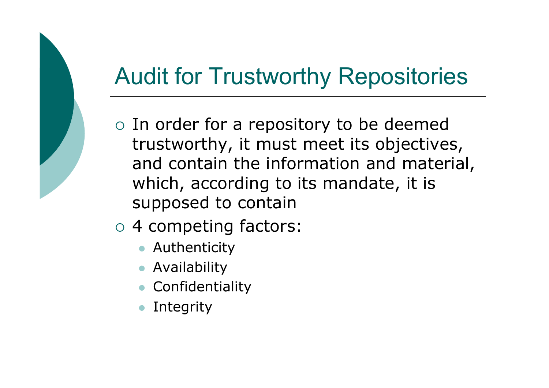### Audit for Trustworthy Repositories

- o In order for a repository to be deemed trustworthy, it must meet its objectives, and contain the information and material, which, according to its mandate, it is supposed to contain
- 4 competing factors:
	- Authenticity
	- Availability $\bullet$
	- **Confidentiality**  $\bullet$
	- $\bullet$ Integrity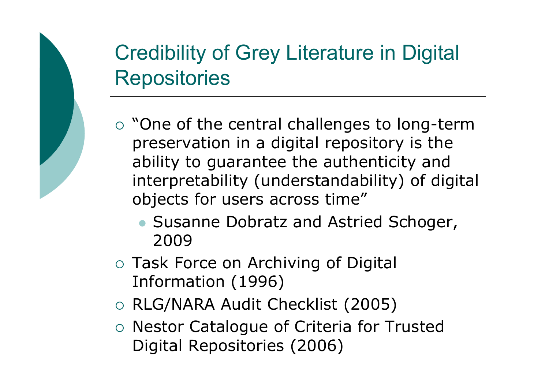#### Credibility of Grey Literature in Digital **Repositories**

- o "One of the central challenges to long-term preservation in a digital repository is the ability to guarantee the authenticity and interpretability (understandability) of digital objects for users across time"
	- Susanne Dobratz and Astried Schoger, 2009
- o Task Force on Archiving of Digital Information (1996)
- RLG/NARA Audit Checklist (2005)
- o Nestor Catalogue of Criteria for Trusted Digital Repositories (2006)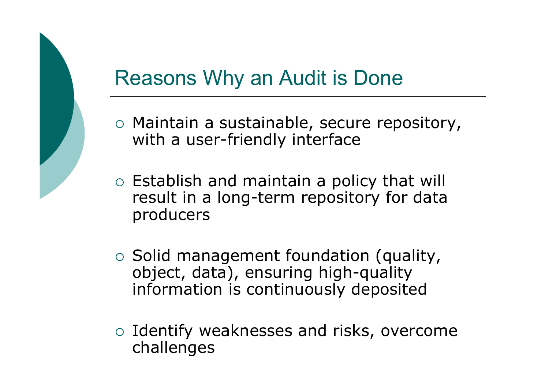#### Reasons Why an Audit is Done

- o Maintain a sustainable, secure repository, with a user-friendly interface
- Establish and maintain a policy that will result in a long-term repository for data producers
- Solid management foundation (quality, object, data), ensuring high-quality information is continuously deposited
- o Identify weaknesses and risks, overcome challenges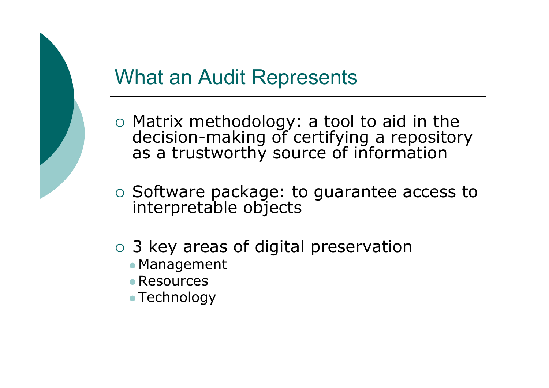#### What an Audit Represents

- Matrix methodology: a tool to aid in the decision-making of certifying a repository as a trustworthy source of information
- o Software package: to guarantee access to interpretable objects
- o 3 key areas of digital preservation
	- Management
	- Resources
	- Technology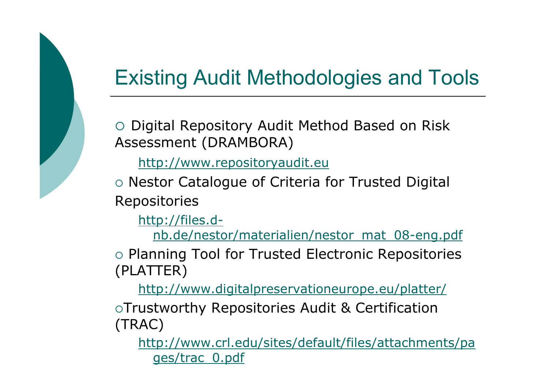#### Existing Audit Methodologies and Tools

O Digital Repository Audit Method Based on Risk Assessment (DRAMBORA)

http://www.repositoryaudit.eu

 $\circ$  Nestor Catalogue of Criteria for Trusted Digital Repositories

http://files.d-

nb.de/nestor/materialien/nestor\_mat\_08-eng.pdf

o Planning Tool for Trusted Electronic Repositories (PLATTER)

http://www.digitalpreservationeurope.eu/platter/

Trustworthy Repositories Audit & Certification (TRAC)

http://www.crl.edu/sites/default/files/attachments/pages/trac\_0.pdf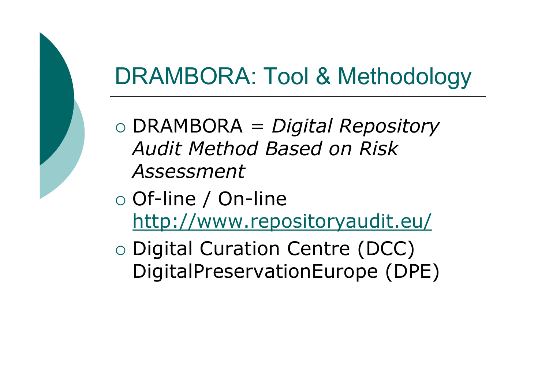#### DRAMBORA: Tool & Methodology

- DRAMBORA = *Digital Repository Audit Method Based on Risk Assessment*
- o Of-line / On-line http://www.repositoryaudit.eu/
- O Digital Curation Centre (DCC)<br>DigitalPreservationFurone (DP DigitalPreservationEurope (DPE)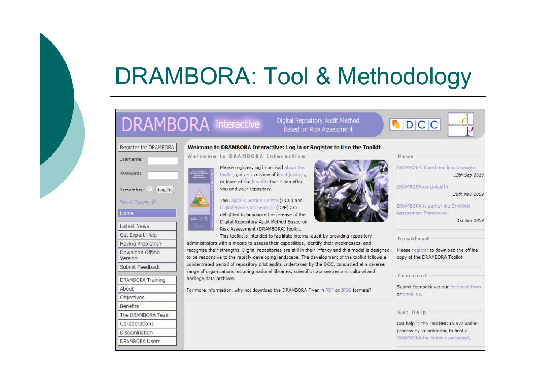## DRAMBORA: Tool & Methodology

#### **DRAMBORA** interactive

Digital Repository Audit Method Based on Risk Assessment

News

#### Register for DRAMBORA Welcome to DRAMBORA Interactive: Log in or Register to Use the Toolkit Welcome to DRAMBORA Interactive

heritage data archives.



Forgot Password?





Please register, log in or read about the toolkit, get an overview of its objectives, or learn of the benefits that it can offer you and your repository.

The Digital Curation Centre (DCC) and DigitalPreservationEurope (DPE) are delighted to announce the release of the Digital Repository Audit Method Based on Risk Assessment (DRAMBORA) toolkit.



DRAMBORA on LinkedIn 30th Nov 2009 DRAMBORA is part of the SHAMAN Assessment Framework 1st Jun 2009 This toolkit is intended to facilitate internal audit by providing repository Download administrators with a means to assess their capabilities, identify their weaknesses, and recognise their strengths. Digital repositories are still in their infancy and this model is designed Please register to download the offline to be responsive to the rapidly developing landscape. The development of the toolkit follows a copy of the DRAMBORA Toolkit concentrated period of repository pilot audits undertaken by the DCC, conducted at a diverse range of organisations including national libraries, scientific data centres and cultural and Comment Submit feedback via our feedback form For more information, why not download the DRAMBORA Flyer in PDF or JPEG formats? or email us. Get Help Get help in the DRAMBORA evaluation process by volunteering to host a DRAMBORA facilitated assessment.

DRAMBORA Translated into Japanese

13th Sep 2010

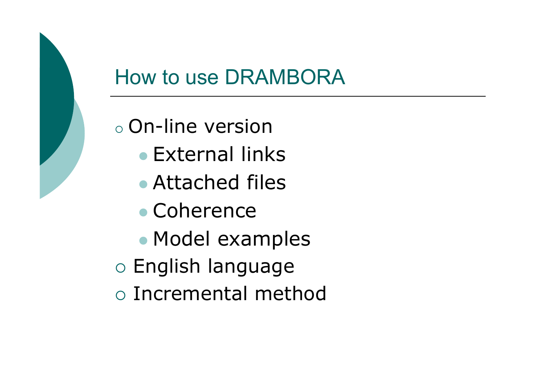#### How to use DRAMBORA

#### $\bigcirc$  $\circ$  On-line version

- $\bullet$ External links
- $\bullet$ Attached files
- $\bullet$ Coherence
- $\bullet$ • Model examples
- o English language
- o Incremental method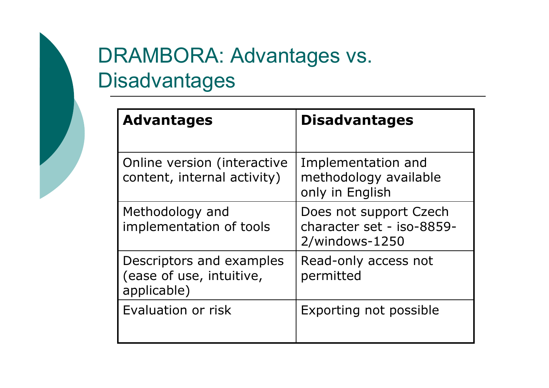#### DRAMBORA: Advantages vs. **Disadvantages**

| <b>Advantages</b>                                                   | <b>Disadvantages</b>                                                     |
|---------------------------------------------------------------------|--------------------------------------------------------------------------|
| Online version (interactive<br>content, internal activity)          | Implementation and<br>methodology available<br>only in English           |
| Methodology and<br>implementation of tools                          | Does not support Czech<br>character set - iso-8859-<br>$2$ /windows-1250 |
| Descriptors and examples<br>(ease of use, intuitive,<br>applicable) | Read-only access not<br>permitted                                        |
| Evaluation or risk                                                  | Exporting not possible                                                   |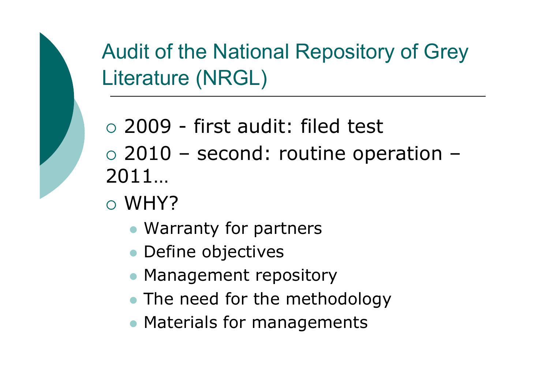Audit of the National Repository of Grey Literature (NRGL)

o 2009 - first audit: filed test 2010 – second: routine operation – 2011…

- WHY?
	- Warranty for partners
	- Define objectives
	- Management repository
	- The need for the methodology
	- Materials for managements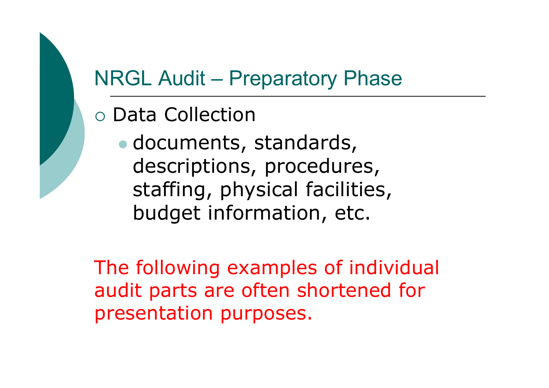#### NRGL Audit – Preparatory Phase

- o Data Collection
	- $\bullet$  documents, standards, descriptions, procedures, staffing, physical facilities,<br>budget information, etc budget information, etc.

The following examples of individual audit parts are often shortened for presentation purposes.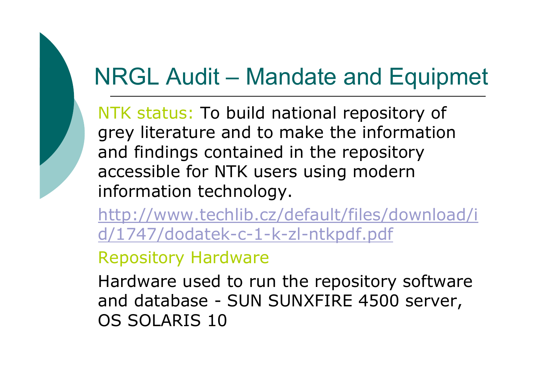## NRGL Audit – Mandate and Equipmet

NTK status: To build national repository of grey literature and to make the information and findings contained in the repository accessible for NTK users using modern information technology.

http://www.techlib.cz/default/files/download/id/1747/dodatek-c-1-k-zl-ntkpdf.pdf

Repository Hardware

Hardware used to run the repository software and database - SUN SUNXFIRE 4500 server, OS SOLARIS 10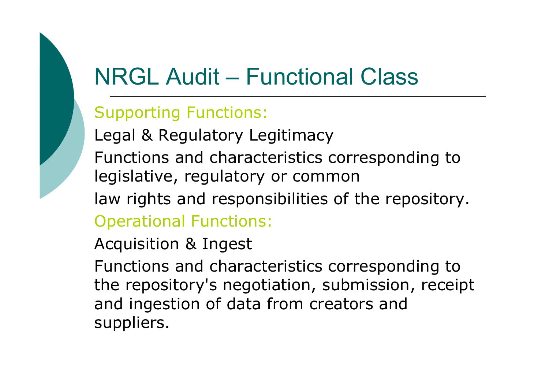## NRGL Audit – Functional Class

#### Supporting Functions:

Legal & Regulatory Legitimacy

 Functions and characteristics corresponding to legislative, regulatory or common

law rights and responsibilities of the repository.

Operational Functions:

Acquisition & Ingest

Functions and characteristics corresponding to the repository's negotiation, submission, receipt and ingestion of data from creators and suppliers.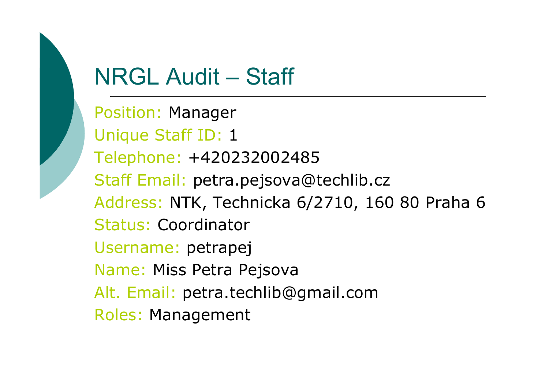## NRGL Audit – Staff

Position: Manager Unique Staff ID: 1 Telephone: +420232002485 Staff Email: petra.pejsova@techlib.czAddress: NTK, Technicka 6/2710, 160 80 Praha <sup>6</sup> Status: Coordinator Username: petrapej Name: Miss Petra Pejsova Alt. Email: petra.techlib@gmail.comRoles: Management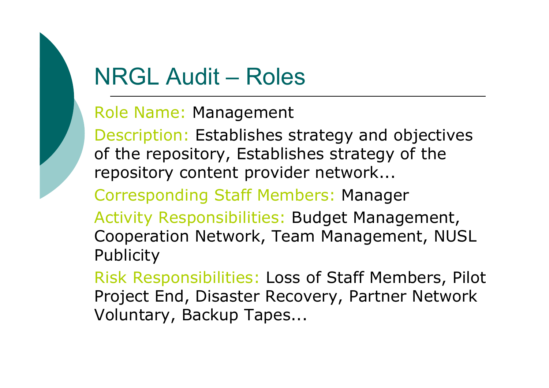## NRGL Audit – Roles

Role Name: Management

Description: Establishes strategy and objectives of the repository, Establishes strategy of the repository content provider network...

Corresponding Staff Members: Manager

Activity Responsibilities: Budget Management, Cooperation Network, Team Management, NUSL **Publicity** 

Risk Responsibilities: Loss of Staff Members, Pilot Project End, Disaster Recovery, Partner Network Voluntary, Backup Tapes...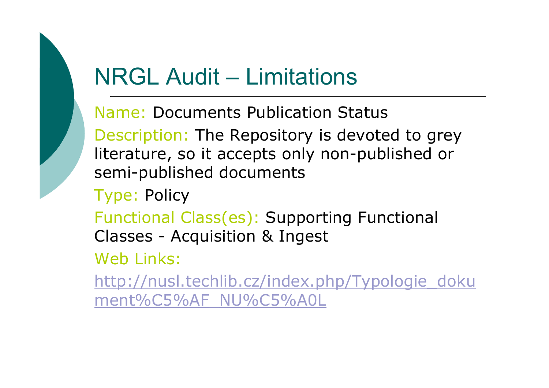#### NRGL Audit – Limitations

Name: Documents Publication StatusDescription: The Repository is devoted to grey literature, so it accepts only non-published or semi-published documents

Type: Policy

Functional Class(es): Supporting Functional Classes - Acquisition & Ingest

Web Links:

http://nusl.techlib.cz/index.php/Typologie\_doku ment%C5%AF\_NU%C5%A0L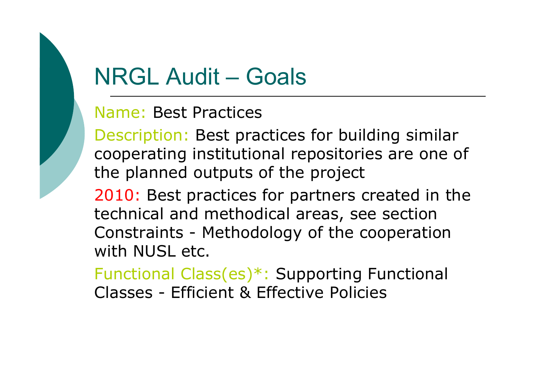#### NRGL Audit – Goals

#### Name: Best Practices

Description: Best practices for building similar cooperating institutional repositories are one of the planned outputs of the project

2010: Best practices for partners created in the technical and methodical areas, see section Constraints - Methodology of the cooperation<br>with NUSL etc with NUSL etc.

Functional Class(es)\*: Supporting Functional Classes - Efficient & Effective Policies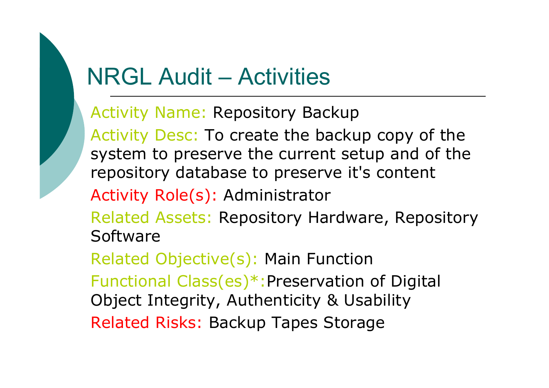#### NRGL Audit – Activities

Activity Name: Repository Backup

Activity Desc: To create the backup copy of the system to preserve the current setup and of the repository database to preserve it's content

Activity Role(s): Administrator

Related Assets: Repository Hardware, Repository Software

Related Objective(s): Main Function Functional Class(es)\*:Preservation of Digital Object Integrity, Authenticity & UsabilityRelated Risks: Backup Tapes Storage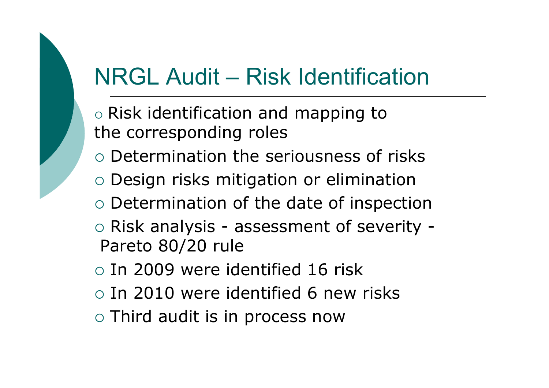## NRGL Audit – Risk Identification

- O ० Risk identification and mapping to<br>the corresnonding roles the corresponding roles
- o Determination the seriousness of risks
- o Design risks mitigation or elimination<br>• Determination of the date of inenectiv
- o Determination of the date of inspection
- o Risk analysis assessment of severity -<br>Pareto 80/20 rule Pareto 80/20 rule
- o In 2009 were identified 16 risk
- o In 2010 were identified 6 new risks
- $\circ$  Third audit is in process now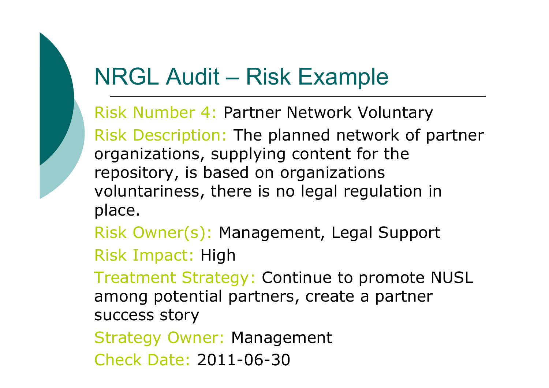#### NRGL Audit – Risk Example

Risk Number 4: Partner Network VoluntaryRisk Description: The planned network of partner organizations, supplying content for the repository, is based on organizations voluntariness, there is no legal regulation in place.

Risk Owner(s): Management, Legal Support Risk Impact: High

 Treatment Strategy: Continue to promote NUSL among potential partners, create a partner success story

Strategy Owner: Management

Check Date: 2011-06-30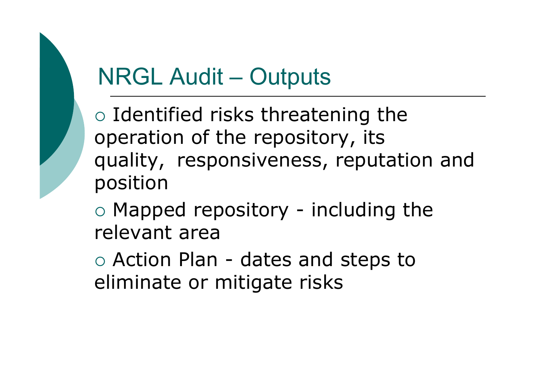## NRGL Audit – Outputs

o Identified risks threatening the<br>oneration of the renository its operation of the repository, its quality, responsiveness, reputation and position

o Mapped repository - including the<br>relevant area relevant area

o Action Plan - dates and steps to<br>eliminate or mitigate risks eliminate or mitigate risks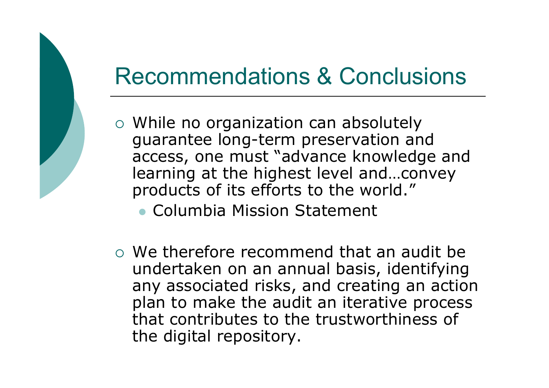#### Recommendations & Conclusions

- o While no organization can absolutely guarantee long-term preservation and access, one must "advance knowledge and learning at the highest level and…convey products of its efforts to the world."
	- Columbia Mission Statement
- O We therefore recommend that an audit be undertaken on an annual basis, identifying any associated risks, and creating an action plan to make the audit an iterative process that contributes to the trustworthiness of the digital repository.